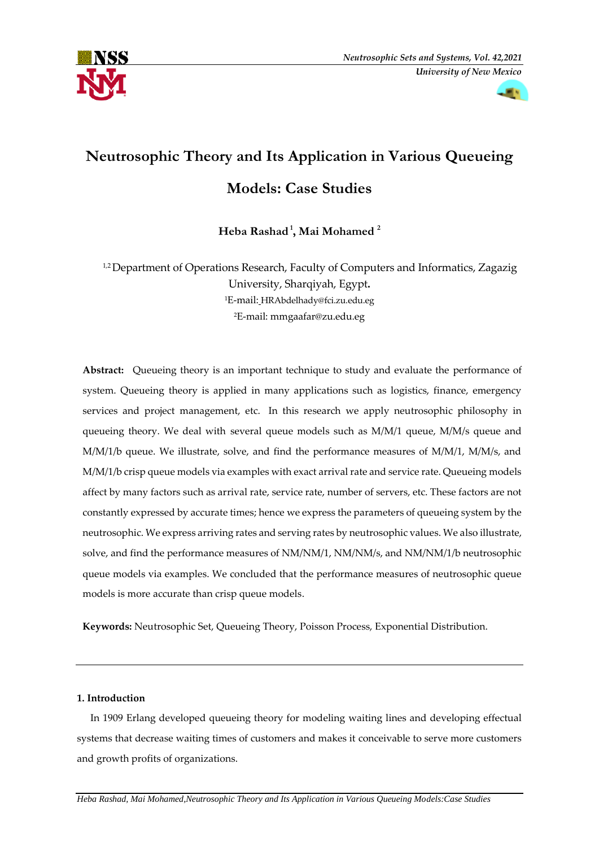



# **Neutrosophic Theory and Its Application in Various Queueing**

# **Models: Case Studies**

**Heba Rashad <sup>1</sup> , Mai Mohamed <sup>2</sup>**

<sup>1,2</sup> Department of Operations Research, Faculty of Computers and Informatics, Zagazig University, Sharqiyah, Egypt**.** <sup>1</sup>E-mail: HRAbdelhady@fci.zu.edu.eg <sup>2</sup>E-mail: mmgaafar@zu.edu.eg

**Abstract:** Queueing theory is an important technique to study and evaluate the performance of system. Queueing theory is applied in many applications such as logistics, finance, emergency services and project management, etc. In this research we apply neutrosophic philosophy in queueing theory. We deal with several queue models such as M/M/1 queue, M/M/s queue and M/M/1/b queue. We illustrate, solve, and find the performance measures of M/M/1, M/M/s, and M/M/1/b crisp queue models via examples with exact arrival rate and service rate. Queueing models affect by many factors such as arrival rate, service rate, number of servers, etc. These factors are not constantly expressed by accurate times; hence we express the parameters of queueing system by the neutrosophic. We express arriving rates and serving rates by neutrosophic values. We also illustrate, solve, and find the performance measures of NM/NM/1, NM/NM/s, and NM/NM/1/b neutrosophic queue models via examples. We concluded that the performance measures of neutrosophic queue models is more accurate than crisp queue models.

**Keywords:** Neutrosophic Set, Queueing Theory, Poisson Process, Exponential Distribution.

# **1. Introduction**

 In 1909 Erlang developed queueing theory for modeling waiting lines and developing effectual systems that decrease waiting times of customers and makes it conceivable to serve more customers and growth profits of organizations.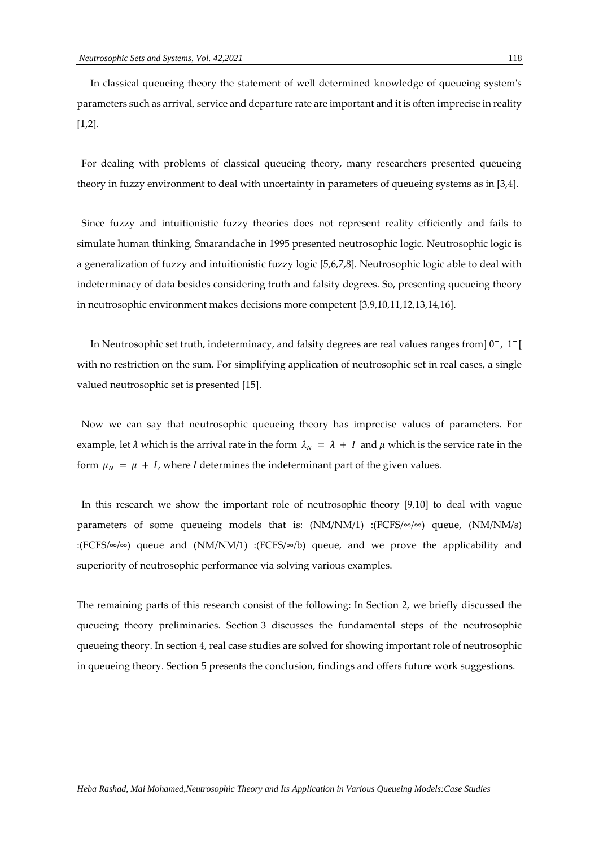In classical queueing theory the statement of well determined knowledge of queueing system's parameters such as arrival, service and departure rate are important and it is often imprecise in reality [1,2].

For dealing with problems of classical queueing theory, many researchers presented queueing theory in fuzzy environment to deal with uncertainty in parameters of queueing systems as in [3,4].

Since fuzzy and intuitionistic fuzzy theories does not represent reality efficiently and fails to simulate human thinking, Smarandache in 1995 presented neutrosophic logic. Neutrosophic logic is a generalization of fuzzy and intuitionistic fuzzy logic [5,6,7,8]. Neutrosophic logic able to deal with indeterminacy of data besides considering truth and falsity degrees. So, presenting queueing theory in neutrosophic environment makes decisions more competent [3,9,10,11,12,13,14,16].

 In Neutrosophic set truth, indeterminacy, and falsity degrees are real values ranges from] 0−, 1<sup>+</sup>[ with no restriction on the sum. For simplifying application of neutrosophic set in real cases, a single valued neutrosophic set is presented [15].

Now we can say that neutrosophic queueing theory has imprecise values of parameters. For example, let  $\lambda$  which is the arrival rate in the form  $\lambda_N = \lambda + I$  and  $\mu$  which is the service rate in the form  $\mu_N = \mu + I$ , where *I* determines the indeterminant part of the given values.

In this research we show the important role of neutrosophic theory [9,10] to deal with vague parameters of some queueing models that is:  $(NM/NM/1)$  :  $(FCFS/\infty)$  queue,  $(NM/NM/s)$ :(FCFS/ $\infty$ / $\infty$ ) queue and (NM/NM/1) :(FCFS/ $\infty$ /b) queue, and we prove the applicability and superiority of neutrosophic performance via solving various examples.

The remaining parts of this research consist of the following: In Section 2, we briefly discussed the queueing theory preliminaries. Section 3 discusses the fundamental steps of the neutrosophic queueing theory. In section 4, real case studies are solved for showing important role of neutrosophic in queueing theory. Section 5 presents the conclusion, findings and offers future work suggestions.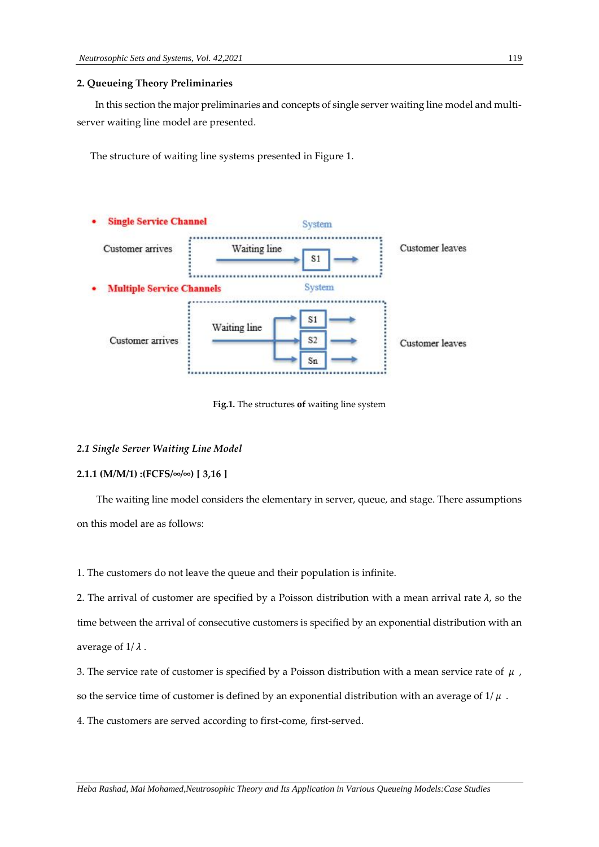# **2. Queueing Theory Preliminaries**

In this section the major preliminaries and concepts of single server waiting line model and multiserver waiting line model are presented.

The structure of waiting line systems presented in Figure 1.



**Fig.1.** The structures **of** waiting line system

# *2.1 Single Server Waiting Line Model*

# **2.1.1 (M/M/1) :(FCFS/∞/∞) [ 3,16 ]**

 The waiting line model considers the elementary in server, queue, and stage. There assumptions on this model are as follows:

1. The customers do not leave the queue and their population is infinite.

2. The arrival of customer are specified by a Poisson distribution with a mean arrival rate  $\lambda$ , so the time between the arrival of consecutive customers is specified by an exponential distribution with an average of  $1/\lambda$ .

3. The service rate of customer is specified by a Poisson distribution with a mean service rate of  $\mu$ , so the service time of customer is defined by an exponential distribution with an average of  $1/\mu$ .

4. The customers are served according to first-come, first-served.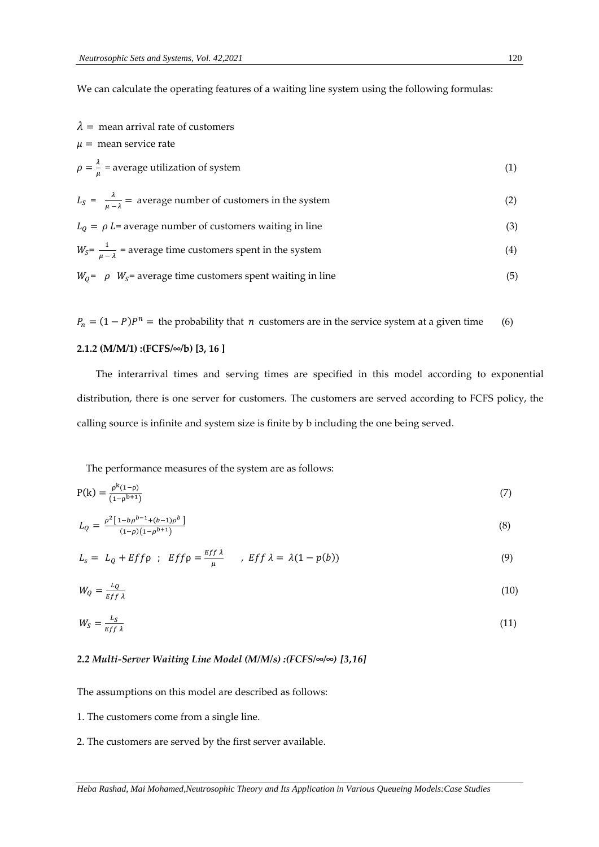We can calculate the operating features of a waiting line system using the following formulas:

| $\lambda$ = mean arrival rate of customers                                        |     |
|-----------------------------------------------------------------------------------|-----|
| $\mu$ = mean service rate                                                         |     |
| $\rho = \frac{\lambda}{\mu}$ = average utilization of system                      | (1) |
| $L_s = \frac{\lambda}{\mu - \lambda}$ = average number of customers in the system | (2) |
| $L_0 = \rho L$ = average number of customers waiting in line                      | (3) |
| $W_s = \frac{1}{u-1}$ = average time customers spent in the system                | (4) |
| $W_0$ = $\rho$ $W_s$ = average time customers spent waiting in line               | (5) |

 $P_n = (1 - P)P^n$  = the probability that *n* customers are in the service system at a given time (6)

# **2.1.2 (M/M/1) :(FCFS/∞/b) [3, 16 ]**

 The interarrival times and serving times are specified in this model according to exponential distribution, there is one server for customers. The customers are served according to FCFS policy, the calling source is infinite and system size is finite by b including the one being served.

The performance measures of the system are as follows:

$$
P(k) = \frac{p^{k}(1-p)}{(1-p^{b+1})}
$$
\n(7)

$$
L_Q = \frac{\rho^2 [1 - b\rho^{b-1} + (b-1)\rho^b]}{(1 - \rho)(1 - \rho^{b+1})}
$$
\n(8)

$$
L_s = L_Q + Eff \rho \; ; \; Eff \rho = \frac{Ef f \lambda}{\mu} \quad , \; Eff \lambda = \lambda (1 - p(b)) \tag{9}
$$

$$
W_Q = \frac{L_Q}{Eff \lambda} \tag{10}
$$

$$
W_S = \frac{L_S}{Ef f \lambda} \tag{11}
$$

# *2.2 Multi-Server Waiting Line Model (M/M/s) :(FCFS/∞/∞) [3,16]*

The assumptions on this model are described as follows:

1. The customers come from a single line.

2. The customers are served by the first server available.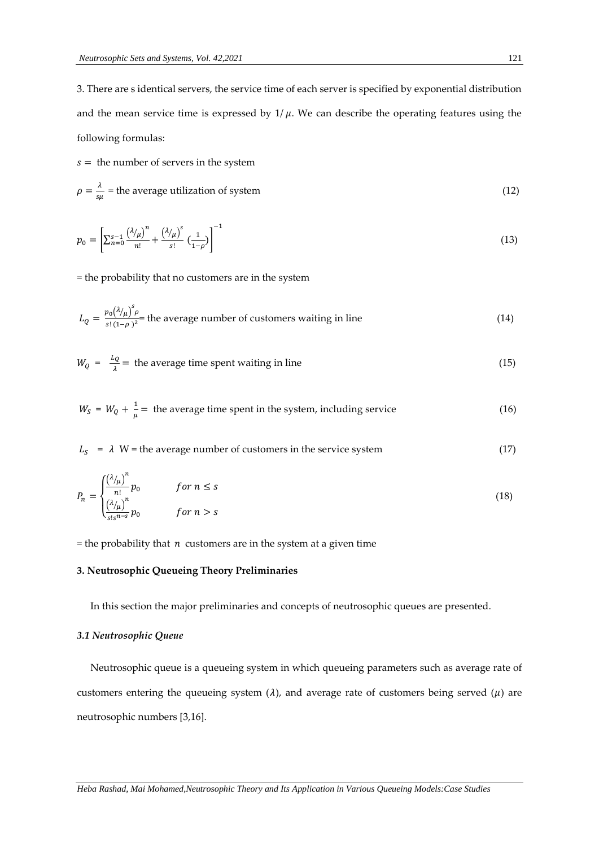3. There are s identical servers, the service time of each server is specified by exponential distribution and the mean service time is expressed by  $1/\mu$ . We can describe the operating features using the following formulas:

 $s =$  the number of servers in the system

$$
\rho = \frac{\lambda}{s\mu} = \text{the average utilization of system}
$$
\n(12)

$$
p_0 = \left[ \sum_{n=0}^{s-1} \frac{\left( \lambda / \mu \right)^n}{n!} + \frac{\left( \lambda / \mu \right)^s}{s!} \left( \frac{1}{1 - \rho} \right) \right]^{-1} \tag{13}
$$

= the probability that no customers are in the system

$$
L_Q = \frac{p_0(\lambda/\mu)^s \rho}{s!(1-\rho)^2}
$$
 the average number of customers waiting in line (14)

$$
W_Q = \frac{L_Q}{\lambda} = \text{ the average time spent waiting in line} \tag{15}
$$

$$
W_s = W_Q + \frac{1}{\mu} =
$$
 the average time spent in the system, including service (16)

 $L<sub>S</sub>$  =  $\lambda$  W = the average number of customers in the service system (17)

$$
P_n = \begin{cases} \frac{(\lambda/\mu)^n}{n!} p_0 & \text{for } n \le s\\ \frac{(\lambda/\mu)^n}{s! s^{n-s}} p_0 & \text{for } n > s \end{cases}
$$
 (18)

= the probability that  $n$  customers are in the system at a given time

# **3. Neutrosophic Queueing Theory Preliminaries**

In this section the major preliminaries and concepts of neutrosophic queues are presented.

# *3.1 Neutrosophic Queue*

 Neutrosophic queue is a queueing system in which queueing parameters such as average rate of customers entering the queueing system  $(\lambda)$ , and average rate of customers being served  $(\mu)$  are neutrosophic numbers [3,16].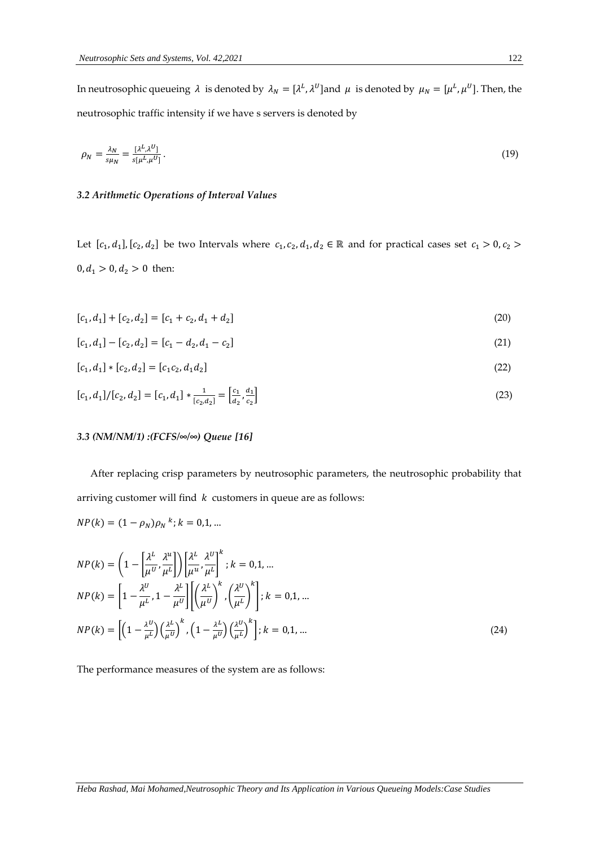In neutrosophic queueing  $\lambda$  is denoted by  $\lambda_N = [\lambda^L, \lambda^U]$  and  $\mu$  is denoted by  $\mu_N = [\mu^L, \mu^U]$ . Then, the neutrosophic traffic intensity if we have s servers is denoted by

$$
\rho_N = \frac{\lambda_N}{s\mu_N} = \frac{[\lambda^L, \lambda^U]}{s\mu^L, \mu^U}.\tag{19}
$$

# *3.2 Arithmetic Operations of Interval Values*

Let  $[c_1, d_1], [c_2, d_2]$  be two Intervals where  $c_1, c_2, d_1, d_2 \in \mathbb{R}$  and for practical cases set  $c_1 > 0, c_2 >$  $0, d_1 > 0, d_2 > 0$  then:

$$
[c_1, d_1] + [c_2, d_2] = [c_1 + c_2, d_1 + d_2]
$$
\n
$$
(20)
$$

$$
[c_1, d_1] - [c_2, d_2] = [c_1 - d_2, d_1 - c_2]
$$
\n
$$
(21)
$$

$$
[c_1, d_1] * [c_2, d_2] = [c_1c_2, d_1d_2]
$$
\n
$$
(22)
$$

$$
[c_1, d_1]/[c_2, d_2] = [c_1, d_1] * \frac{1}{[c_2, d_2]} = \left[\frac{c_1}{d_2}, \frac{d_1}{c_2}\right]
$$
\n(23)

# *3.3 (NM/NM/1) :(FCFS/∞/∞) Queue [16]*

 After replacing crisp parameters by neutrosophic parameters, the neutrosophic probability that arriving customer will find  $k$  customers in queue are as follows:

$$
NP(k) = (1 - \rho_N)\rho_N^k; k = 0, 1, ...
$$
  
\n
$$
NP(k) = \left(1 - \left[\frac{\lambda^L}{\mu^U}, \frac{\lambda^u}{\mu^L}\right]\right) \left[\frac{\lambda^L}{\mu^u}, \frac{\lambda^U}{\mu^L}\right]^k; k = 0, 1, ...
$$
  
\n
$$
NP(k) = \left[1 - \frac{\lambda^U}{\mu^L}, 1 - \frac{\lambda^L}{\mu^U}\right] \left[\left(\frac{\lambda^L}{\mu^U}\right)^k, \left(\frac{\lambda^U}{\mu^L}\right)^k\right]; k = 0, 1, ...
$$
  
\n
$$
NP(k) = \left[\left(1 - \frac{\lambda^U}{\mu^L}\right) \left(\frac{\lambda^L}{\mu^U}\right)^k, \left(1 - \frac{\lambda^L}{\mu^U}\right) \left(\frac{\lambda^U}{\mu^L}\right)^k\right]; k = 0, 1, ...
$$
\n(24)

The performance measures of the system are as follows: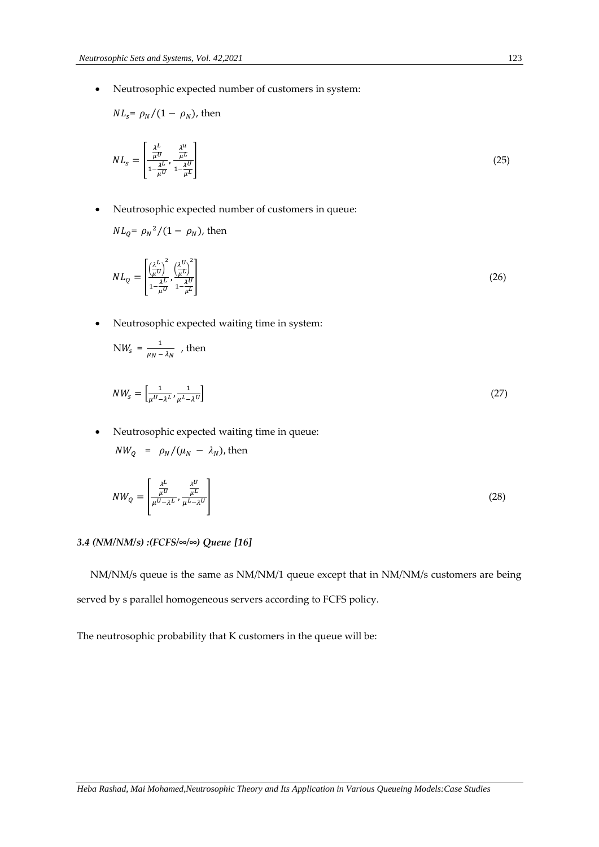• Neutrosophic expected number of customers in system:

$$
NL_s = \rho_N/(1 - \rho_N)
$$
, then

$$
NL_s = \left[\frac{\frac{\lambda^L}{\mu U}}{1 - \frac{\lambda^L}{\mu U}}, \frac{\frac{\lambda^u}{\mu^L}}{1 - \frac{\lambda^v}{\mu^L}}\right]
$$
(25)

• Neutrosophic expected number of customers in queue:

$$
NL_q = \rho_N^2/(1 - \rho_N)
$$
, then

$$
NL_Q = \begin{bmatrix} \left(\frac{\lambda^L}{\mu^U}\right)^2 & \left(\frac{\lambda^U}{\mu^L}\right)^2\\ \frac{\lambda^L}{1-\mu^U} & \frac{\lambda^U}{1-\mu^L} \end{bmatrix} \tag{26}
$$

• Neutrosophic expected waiting time in system:

$$
NW_{s} = \frac{1}{\mu_{N} - \lambda_{N}} , then
$$

$$
NW_s = \left[\frac{1}{\mu^U - \lambda^L}, \frac{1}{\mu^L - \lambda^U}\right] \tag{27}
$$

• Neutrosophic expected waiting time in queue:

$$
NW_Q = \rho_N/(\mu_N - \lambda_N), \text{ then}
$$

$$
NW_Q = \left[ \frac{\frac{\lambda^L}{\mu^U}}{\mu^U - \lambda^L}, \frac{\frac{\lambda^U}{\mu^L}}{\mu^L - \lambda^U} \right] \tag{28}
$$

# *3.4 (NM/NM/s) :(FCFS/∞/∞) Queue [16]*

 NM/NM/s queue is the same as NM/NM/1 queue except that in NM/NM/s customers are being served by s parallel homogeneous servers according to FCFS policy.

The neutrosophic probability that K customers in the queue will be: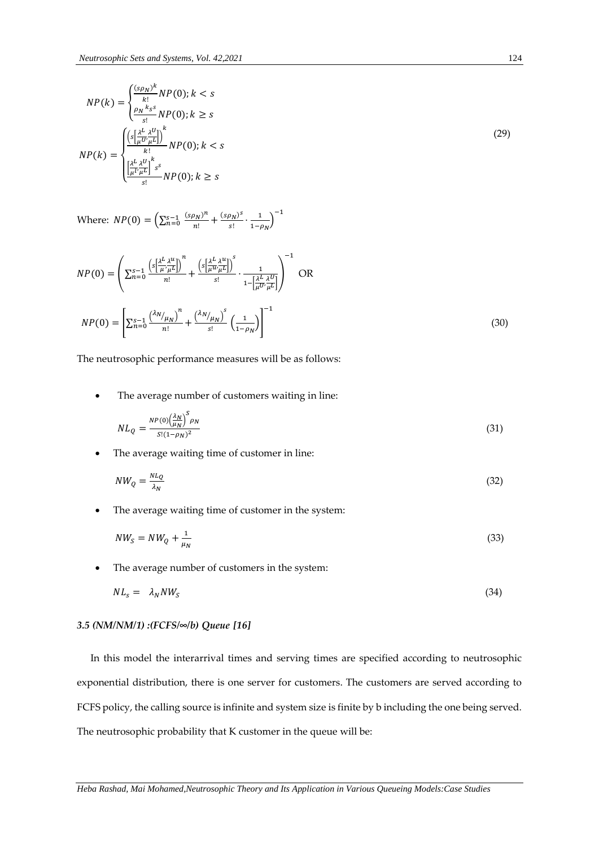$$
NP(k) = \begin{cases} \frac{(s\rho_N)^k}{k!} NP(0); k < s\\ \frac{\rho_N}{s!} NP(0); k \ge s \end{cases}
$$
\n
$$
NP(k) = \begin{cases} \frac{\left(s\left[\frac{\lambda^L}{\mu^U}\frac{\lambda^U}{\mu^L}\right]\right)^k}{k!} NP(0); k < s\\ \frac{\left[\frac{\lambda^L}{\mu^U}\frac{\lambda^U}{\mu^L}\right]^k}{s!} NP(0); k \ge s \end{cases}
$$
\n
$$
(29)
$$

Where:  $NP(0) = \left(\sum_{n=0}^{s-1} \frac{(s\rho_N)^n}{n!}\right)$  $\frac{(s\rho_N)^n}{n!} + \frac{(s\rho_N)^s}{s!} \cdot \frac{1}{1-\rho_N}$ 

$$
NP(0) = \left( \sum_{n=0}^{s-1} \frac{\left( s \left[ \frac{\lambda^L}{\mu} \frac{\lambda^u}{\mu^L} \right] \right)^n}{n!} + \frac{\left( s \left[ \frac{\lambda^L}{\mu} \frac{\lambda^u}{\mu^L} \right] \right)^s}{s!} \cdot \frac{1}{1 - \left[ \frac{\lambda^L}{\mu} \frac{\lambda^U}{\mu^L} \right]} \right)^{-1} \text{ OR}
$$
  

$$
NP(0) = \left[ \sum_{n=0}^{s-1} \frac{\left( \lambda^N / \mu_N \right)^n}{n!} + \frac{\left( \lambda^N / \mu_N \right)^s}{s!} \left( \frac{1}{1 - \rho_N} \right) \right]^{-1}
$$
(30)

The neutrosophic performance measures will be as follows:

The average number of customers waiting in line:

$$
NL_{Q} = \frac{NP(0)\left(\frac{\lambda_N}{\mu_N}\right)^S \rho_N}{S!(1-\rho_N)^2}
$$
\n(31)

The average waiting time of customer in line:

$$
NW_Q = \frac{NL_Q}{\lambda_N} \tag{32}
$$

The average waiting time of customer in the system:

$$
NW_S = NW_Q + \frac{1}{\mu_N} \tag{33}
$$

The average number of customers in the system:

$$
NL_s = \lambda_N NW_s \tag{34}
$$

# *3.5 (NM/NM/1) :(FCFS/∞/b) Queue [16]*

 In this model the interarrival times and serving times are specified according to neutrosophic exponential distribution, there is one server for customers. The customers are served according to FCFS policy, the calling source is infinite and system size is finite by b including the one being served. The neutrosophic probability that K customer in the queue will be:

*Heba Rashad, Mai Mohamed,Neutrosophic Theory and Its Application in Various Queueing Models:Case Studies*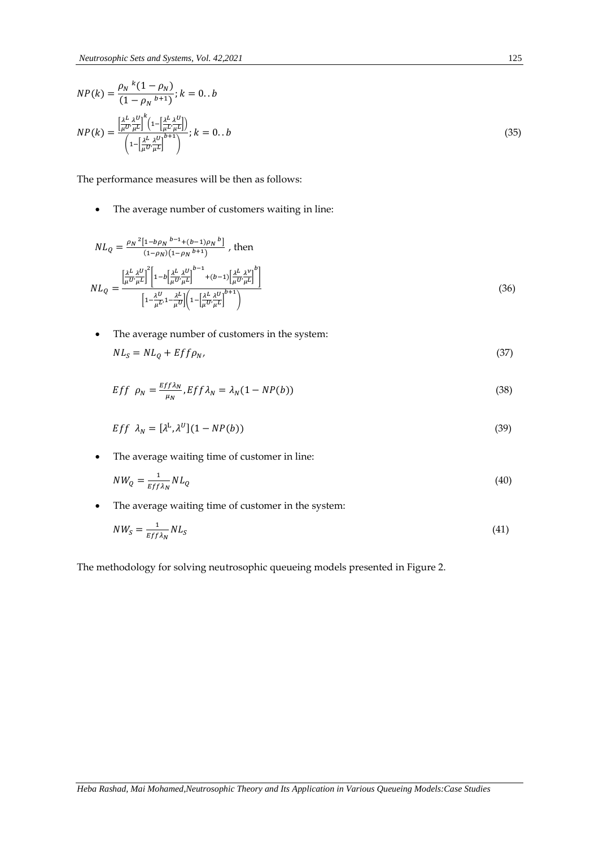$$
NP(k) = \frac{\rho_N \kappa (1 - \rho_N)}{(1 - \rho_N)^{b+1}}; k = 0..b
$$
  

$$
NP(k) = \frac{\left[\frac{\lambda^L \lambda^U}{\mu U^2 \mu^L}\right]^k (1 - \left[\frac{\lambda^L \lambda^U}{\mu V^2 \mu^L}\right])}{\left(1 - \left[\frac{\lambda^L \lambda^U}{\mu V^2 \mu^L}\right]^{b+1}\right)}; k = 0..b
$$
 (35)

The performance measures will be then as follows:

• The average number of customers waiting in line:

$$
NL_{Q} = \frac{\rho_{N}^{2} [1 - b \rho_{N}^{b-1} + (b-1) \rho_{N}^{b}]}{(1 - \rho_{N})(1 - \rho_{N}^{b+1})}, \text{ then}
$$

$$
NL_{Q} = \frac{\left[\frac{\lambda^{L}}{\mu U'} \frac{\lambda^{U}}{\mu L}\right]^{2} \left[1 - b\left[\frac{\lambda^{L}}{\mu U'} \frac{\lambda^{U}}{\mu L}\right]^{b-1} + (b-1)\left[\frac{\lambda^{L}}{\mu U'} \frac{\lambda^{V}}{\mu L}\right]^{b}\right]}{\left[1 - \frac{\lambda^{U}}{\mu U'} \frac{\lambda^{L}}{\mu U}\right] \left(1 - \left[\frac{\lambda^{L}}{\mu U'} \frac{\lambda^{U}}{\mu L}\right]^{b+1}\right)}
$$
(36)

• The average number of customers in the system:

$$
NL_S = NL_Q + Eff\rho_N,\tag{37}
$$

$$
Eff \rho_N = \frac{Eff\lambda_N}{\mu_N}, Eff\lambda_N = \lambda_N(1 - NP(b))
$$
\n(38)

$$
Eff \lambda_N = [\lambda^L, \lambda^U](1 - NP(b)) \tag{39}
$$

• The average waiting time of customer in line:

$$
NW_Q = \frac{1}{Eff\lambda_N} NL_Q \tag{40}
$$

• The average waiting time of customer in the system:

$$
NW_S = \frac{1}{Eff\lambda_N} NL_S \tag{41}
$$

The methodology for solving neutrosophic queueing models presented in Figure 2.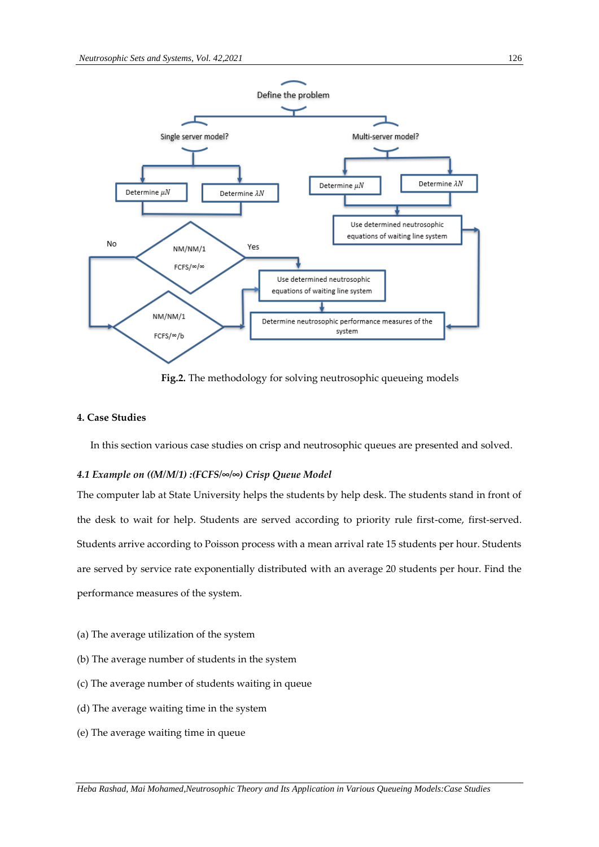

**Fig.2.** The methodology for solving neutrosophic queueing models

# **4. Case Studies**

In this section various case studies on crisp and neutrosophic queues are presented and solved.

#### *4.1 Example on ((M/M/1) :(FCFS/∞/∞) Crisp Queue Model*

The computer lab at State University helps the students by help desk. The students stand in front of the desk to wait for help. Students are served according to priority rule first-come, first-served. Students arrive according to Poisson process with a mean arrival rate 15 students per hour. Students are served by service rate exponentially distributed with an average 20 students per hour. Find the performance measures of the system.

- (a) The average utilization of the system
- (b) The average number of students in the system
- (c) The average number of students waiting in queue
- (d) The average waiting time in the system
- (e) The average waiting time in queue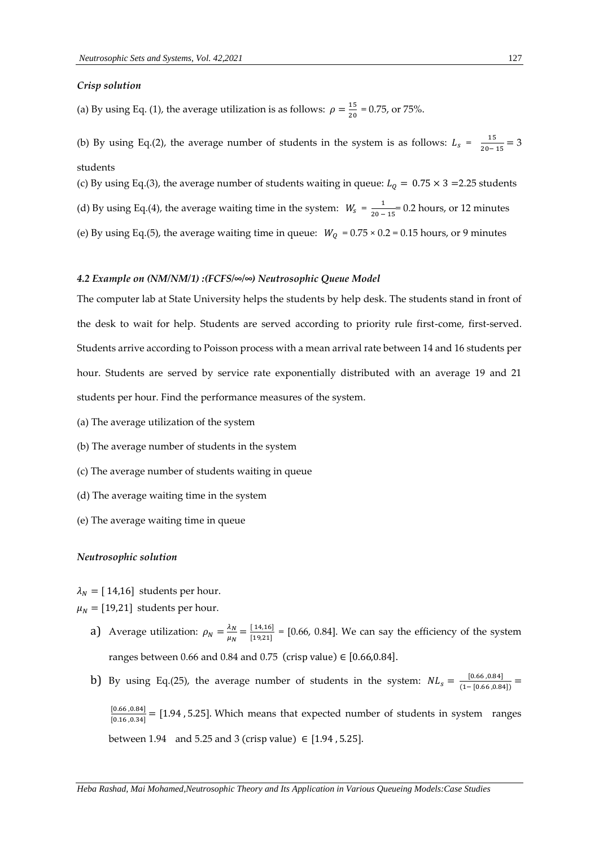#### *Crisp solution*

(a) By using Eq. (1), the average utilization is as follows:  $\rho = \frac{15}{20}$  $\frac{15}{20}$  = 0.75, or 75%.

(b) By using Eq.(2), the average number of students in the system is as follows:  $L_s = \frac{15}{20}$  $\frac{15}{20-15}$  = 3 students

(c) By using Eq.(3), the average number of students waiting in queue:  $L_0 = 0.75 \times 3 = 2.25$  students (d) By using Eq.(4), the average waiting time in the system:  $W_s = \frac{1}{20}$  $\frac{1}{20-15}$  = 0.2 hours, or 12 minutes (e) By using Eq.(5), the average waiting time in queue:  $W_Q = 0.75 \times 0.2 = 0.15$  hours, or 9 minutes

#### *4.2 Example on (NM/NM/1) :(FCFS/∞/∞) Neutrosophic Queue Model*

The computer lab at State University helps the students by help desk. The students stand in front of the desk to wait for help. Students are served according to priority rule first-come, first-served. Students arrive according to Poisson process with a mean arrival rate between 14 and 16 students per hour. Students are served by service rate exponentially distributed with an average 19 and 21 students per hour. Find the performance measures of the system.

- (a) The average utilization of the system
- (b) The average number of students in the system
- (c) The average number of students waiting in queue
- (d) The average waiting time in the system
- (e) The average waiting time in queue

#### *Neutrosophic solution*

 $\lambda_N = [14,16]$  students per hour.

 $\mu_N = [19,21]$  students per hour.

- a) Average utilization:  $\rho_N = \frac{\lambda_N}{\mu_N}$  $\frac{\lambda_N}{\mu_N} = \frac{[14, 16]}{[19, 21]}$  $\frac{14,10}{19,21}$  = [0.66, 0.84]. We can say the efficiency of the system ranges between 0.66 and 0.84 and 0.75 (crisp value)  $\in$  [0.66,0.84].
- b) By using Eq.(25), the average number of students in the system:  $NL_s = \frac{[0.66, 0.84]}{(1 10.66, 0.8)}$  $\frac{1^{(0.66,0.64)}}{(1-[0.66,0.84])} =$

 $[0.66, 0.84]$  $\frac{[0.66,0.84]}{[0.16,0.34]}$  = [1.94, 5.25]. Which means that expected number of students in system ranges between 1.94 and 5.25 and 3 (crisp value) ∈ [1.94, 5.25].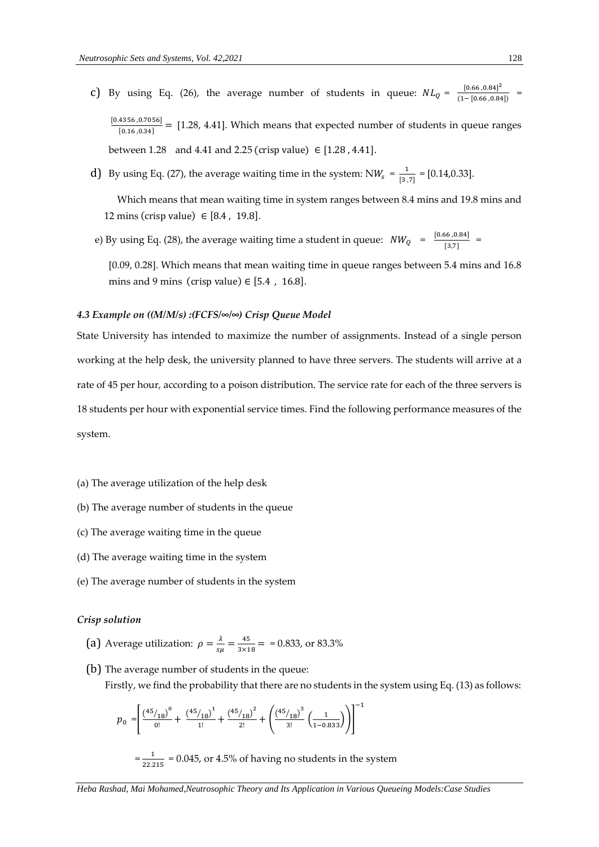- c) By using Eq. (26), the average number of students in queue:  $NL_Q = \frac{[0.66, 0.84]^2}{(1 10.66, 0.84)^2}$  $\frac{10.00, 0.041}{(1-[0.66, 0.84])}$  = [0.4356 ,0.7056]  $\frac{4336,0.76361}{[0.16,0.34]}$  = [1.28, 4.41]. Which means that expected number of students in queue ranges between 1.28 and 4.41 and 2.25 (crisp value)  $\in$  [1.28, 4.41].
- d) By using Eq. (27), the average waiting time in the system:  $NW_s = \frac{1}{13}$  $\frac{1}{[3,7]}$  = [0.14,0.33].

 Which means that mean waiting time in system ranges between 8.4 mins and 19.8 mins and 12 mins (crisp value)  $\in$  [8.4, 19.8].

e) By using Eq. (28), the average waiting time a student in queue:  $NW_Q = \frac{[0.66, 0.84]}{12.71}$  $\frac{58,60,1}{[3,7]}$  =

[0.09, 0.28]. Which means that mean waiting time in queue ranges between 5.4 mins and 16.8 mins and 9 mins (crisp value)  $\in$  [5.4, 16.8].

# *4.3 Example on ((M/M/s) :(FCFS/∞/∞) Crisp Queue Model*

State University has intended to maximize the number of assignments. Instead of a single person working at the help desk, the university planned to have three servers. The students will arrive at a rate of 45 per hour, according to a poison distribution. The service rate for each of the three servers is 18 students per hour with exponential service times. Find the following performance measures of the system.

- (a) The average utilization of the help desk
- (b) The average number of students in the queue
- (c) The average waiting time in the queue
- (d) The average waiting time in the system
- (e) The average number of students in the system

#### *Crisp solution*

- (a) Average utilization:  $\rho = \frac{\lambda}{\omega}$  $\frac{\lambda}{s\mu} = \frac{45}{3\times1}$  $\frac{43}{3\times18}$  = = 0.833, or 83.3%
- (b) The average number of students in the queue: Firstly, we find the probability that there are no students in the system using Eq. (13) as follows:

$$
p_0 = \left[\frac{\left(\frac{45}{18}\right)^0}{0!} + \frac{\left(\frac{45}{18}\right)^1}{1!} + \frac{\left(\frac{45}{18}\right)^2}{2!} + \left(\frac{\left(\frac{45}{18}\right)^3}{3!} \left(\frac{1}{1-0.833}\right)\right)\right]^{-1}
$$

 $=\frac{1}{22.3}$  $\frac{1}{22.215}$  = 0.045, or 4.5% of having no students in the system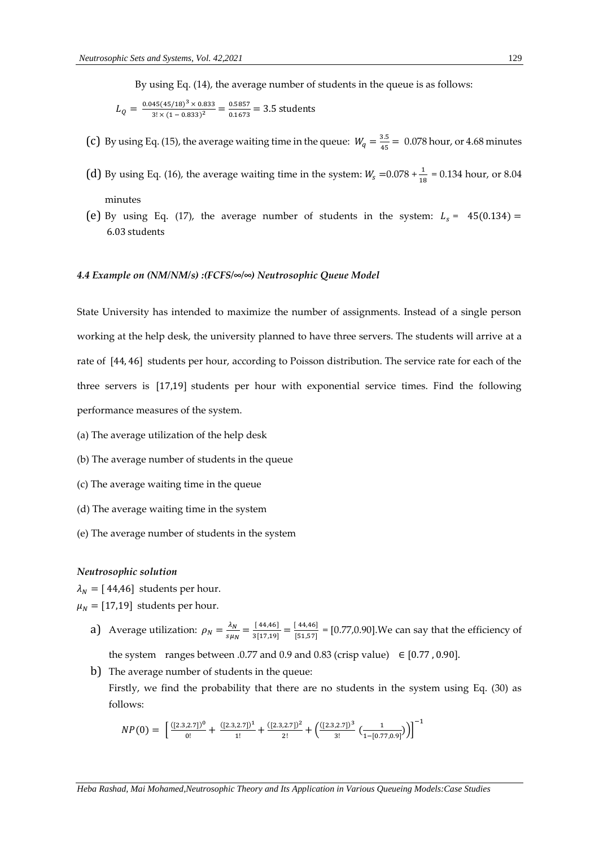By using Eq. (14), the average number of students in the queue is as follows:

$$
L_Q = \frac{0.045(45/18)^3 \times 0.833}{3! \times (1 - 0.833)^2} = \frac{0.5857}{0.1673} = 3.5
$$
 students

- (c) By using Eq. (15), the average waiting time in the queue:  $W_q = \frac{3.5}{45}$  $\frac{3.5}{45}$  = 0.078 hour, or 4.68 minutes
- (d) By using Eq. (16), the average waiting time in the system:  $W_s = 0.078 + \frac{1}{18} = 0.134$  hour, or 8.04 minutes
- (e) By using Eq. (17), the average number of students in the system:  $L_s = 45(0.134) =$ 6.03 students

#### *4.4 Example on (NM/NM/s) :(FCFS/∞/∞) Neutrosophic Queue Model*

State University has intended to maximize the number of assignments. Instead of a single person working at the help desk, the university planned to have three servers. The students will arrive at a rate of [44, 46] students per hour, according to Poisson distribution. The service rate for each of the three servers is [17,19] students per hour with exponential service times. Find the following performance measures of the system.

- (a) The average utilization of the help desk
- (b) The average number of students in the queue
- (c) The average waiting time in the queue
- (d) The average waiting time in the system
- (e) The average number of students in the system

# *Neutrosophic solution*

 $\lambda_N = [44, 46]$  students per hour.

 $\mu_N = [17,19]$  students per hour.

a) Average utilization:  $\rho_N = \frac{\lambda_N}{\epsilon_{N+1}}$  $\frac{\lambda_N}{s\mu_N} = \frac{[44, 46]}{3[17, 19]}$  $\frac{[44,46]}{3[17,19]} = \frac{[44,46]}{[51,57]}$  $\frac{[1,1,57]}{[51,57]}$  = [0.77,0.90]. We can say that the efficiency of

the system ranges between .0.77 and 0.9 and 0.83 (crisp value)  $\in$  [0.77, 0.90].

b) The average number of students in the queue: Firstly, we find the probability that there are no students in the system using Eq. (30) as follows:

$$
NP(0) = \left[ \frac{([2.3,2.7])^{0}}{0!} + \frac{([2.3,2.7])^{1}}{1!} + \frac{([2.3,2.7])^{2}}{2!} + \left( \frac{([2.3,2.7])^{3}}{3!} \left( \frac{1}{1 - [0.77,0.9]} \right) \right) \right]^{-1}
$$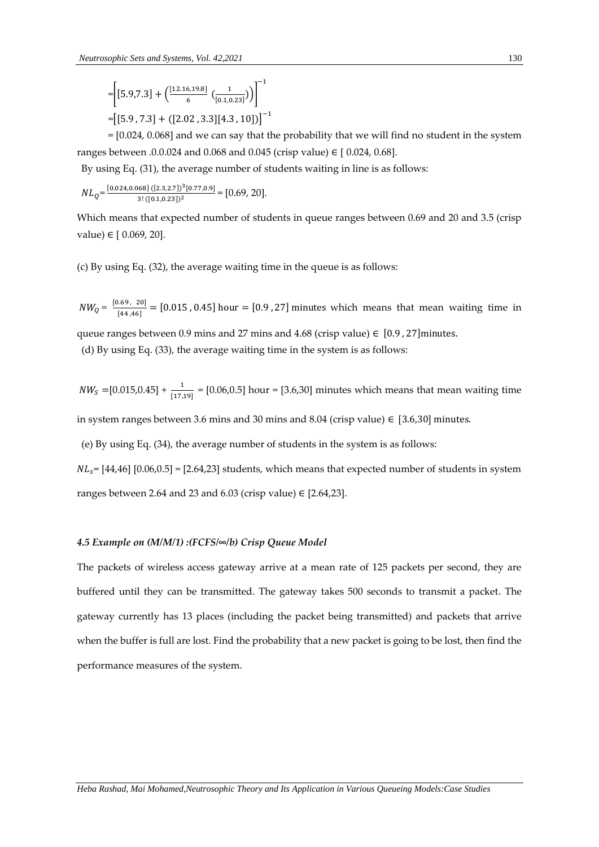$$
= \left[ [5.9, 7.3] + \left( \frac{[12.16, 19.8]}{6} \left( \frac{1}{[0.1, 0.23]} \right) \right]^{-1} \right]
$$

$$
= \left[ [5.9, 7.3] + ([2.02, 3.3][4.3, 10]) \right]^{-1}
$$

 = [0.024, 0.068] and we can say that the probability that we will find no student in the system ranges between .0.0.024 and 0.068 and 0.045 (crisp value) ∈ [0.024, 0.68].

By using Eq. (31), the average number of students waiting in line is as follows:

$$
NL_Q\text{=}\frac{[0.024, 0.068]\,([2.3, 2.7])^3[0.77, 0.9]}{3!\,([0.1, 0.23])^2}\text{= [0.69, 20]}.
$$

Which means that expected number of students in queue ranges between 0.69 and 20 and 3.5 (crisp value) ∈ [ 0.069, 20].

(c) By using Eq. (32), the average waiting time in the queue is as follows:

 $NW_Q = \frac{[0.69, 20]}{[44, 46]}$  $\frac{[0.69, 20]}{[44,46]}$  = [0.015, 0.45] hour = [0.9, 27] minutes which means that mean waiting time in

queue ranges between 0.9 mins and 27 mins and 4.68 (crisp value)  $\in$  [0.9, 27] minutes.

(d) By using Eq. (33), the average waiting time in the system is as follows:

 $NW<sub>S</sub> = [0.015, 0.45] + \frac{1}{[17,19]} = [0.06, 0.5]$  hour = [3.6,30] minutes which means that mean waiting time

in system ranges between 3.6 mins and 30 mins and 8.04 (crisp value) ∈ [3.6,30] minutes.

(e) By using Eq. (34), the average number of students in the system is as follows:

 $NL_s$ = [44,46] [0.06,0.5] = [2.64,23] students, which means that expected number of students in system ranges between 2.64 and 23 and 6.03 (crisp value)  $\in$  [2.64,23].

# *4.5 Example on (M/M/1) :(FCFS/∞/b) Crisp Queue Model*

The packets of wireless access gateway arrive at a mean rate of 125 packets per second, they are buffered until they can be transmitted. The gateway takes 500 seconds to transmit a packet. The gateway currently has 13 places (including the packet being transmitted) and packets that arrive when the buffer is full are lost. Find the probability that a new packet is going to be lost, then find the performance measures of the system.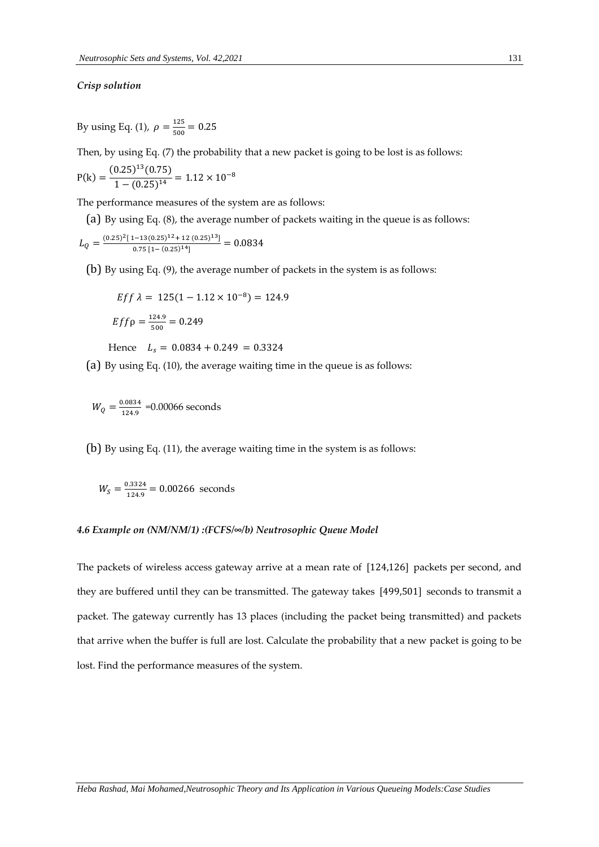# *Crisp solution*

By using Eq. (1),  $\rho = \frac{125}{500}$  $\frac{123}{500} = 0.25$ 

Then, by using Eq. (7) the probability that a new packet is going to be lost is as follows:

$$
P(k) = \frac{(0.25)^{13}(0.75)}{1 - (0.25)^{14}} = 1.12 \times 10^{-8}
$$

The performance measures of the system are as follows:

(a) By using Eq. (8), the average number of packets waiting in the queue is as follows:

$$
L_Q = \frac{(0.25)^2 [1 - 13(0.25)^{12} + 12(0.25)^{13}]}{0.75 [1 - (0.25)^{14}]} = 0.0834
$$

(b) By using Eq. (9), the average number of packets in the system is as follows:

$$
Eff \lambda = 125(1 - 1.12 \times 10^{-8}) = 124.9
$$
  
 
$$
Eff \rho = \frac{124.9}{500} = 0.249
$$

Hence  $L_s = 0.0834 + 0.249 = 0.3324$ 

(a) By using Eq. (10), the average waiting time in the queue is as follows:

$$
W_Q = \frac{0.0834}{124.9} = 0.00066
$$
 seconds

(b) By using Eq. (11), the average waiting time in the system is as follows:

$$
W_S = \frac{0.3324}{124.9} = 0.00266
$$
 seconds

#### *4.6 Example on (NM/NM/1) :(FCFS/∞/b) Neutrosophic Queue Model*

The packets of wireless access gateway arrive at a mean rate of [124,126] packets per second, and they are buffered until they can be transmitted. The gateway takes [499,501] seconds to transmit a packet. The gateway currently has 13 places (including the packet being transmitted) and packets that arrive when the buffer is full are lost. Calculate the probability that a new packet is going to be lost. Find the performance measures of the system.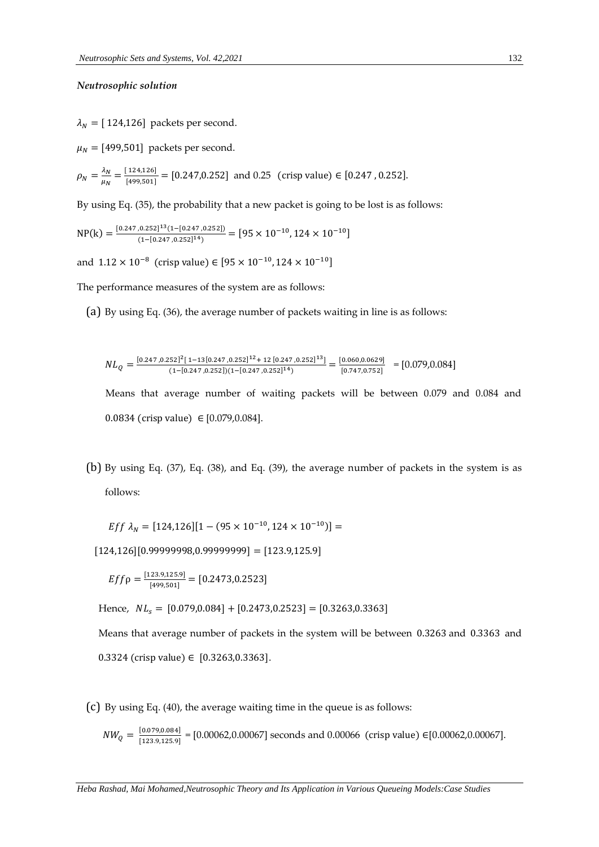# *Neutrosophic solution*

 $\lambda_N = [ 124, 126]$  packets per second.

 $\mu_N =$  [499,501] packets per second.

$$
\rho_N = \frac{\lambda_N}{\mu_N} = \frac{[124, 126]}{[499, 501]} = [0.247, 0.252]
$$
 and 0.25 (crisp value)  $\in [0.247, 0.252]$ .

By using Eq. (35), the probability that a new packet is going to be lost is as follows:

$$
\text{NP(k)} = \frac{[0.247, 0.252]^{13} (1 - [0.247, 0.252])}{(1 - [0.247, 0.252]^{14})} = [95 \times 10^{-10}, 124 \times 10^{-10}]
$$

and  $1.12 \times 10^{-8}$  (crisp value) ∈ [95  $\times$   $10^{-10}$ ,  $124 \times 10^{-10}$ ]

The performance measures of the system are as follows:

(a) By using Eq. (36), the average number of packets waiting in line is as follows:

$$
NL_{Q} = \frac{[0.247, 0.252]^{2}[1 - 13[0.247, 0.252]^{12} + 12[0.247, 0.252]^{13}]}{(1 - [0.247, 0.252])(1 - [0.247, 0.252]^{14})} = \frac{[0.060, 0.0629]}{[0.747, 0.752]} = [0.079, 0.084]
$$

Means that average number of waiting packets will be between 0.079 and 0.084 and 0.0834 (crisp value) ∈ [0.079,0.084].

(b) By using Eq. (37), Eq. (38), and Eq. (39), the average number of packets in the system is as follows:

$$
Eff \lambda_N = [124, 126][1 - (95 \times 10^{-10}, 124 \times 10^{-10})] =
$$

 $[124, 126][0.99999998, 0.99999999] = [123.9, 125.9]$ 

$$
Eff \rho = \frac{[123.9, 125.9]}{[499, 501]} = [0.2473, 0.2523]
$$

Hence,  $NL_s = [0.079, 0.084] + [0.2473, 0.2523] = [0.3263, 0.3363]$ 

Means that average number of packets in the system will be between 0.3263 and 0.3363 and 0.3324 (crisp value) ∈  $[0.3263, 0.3363]$ .

(c) By using Eq. (40), the average waiting time in the queue is as follows:

$$
NW_Q = \frac{[0.079, 0.084]}{[123.9, 125.9]} = [0.00062, 0.00067] \text{ seconds and } 0.00066 \text{ (crisp value)} \in [0.00062, 0.00067].
$$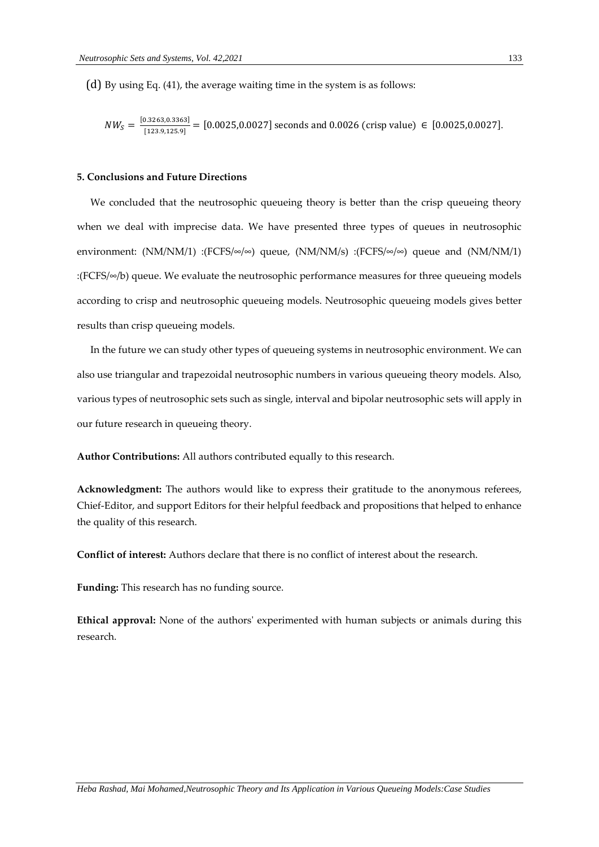(d) By using Eq. (41), the average waiting time in the system is as follows:

$$
NW_S = \frac{[0.3263, 0.3363]}{[123.9, 125.9]} = [0.0025, 0.0027]
$$
 seconds and 0.0026 (crisp value)  $\in [0.0025, 0.0027]$ .

# **5. Conclusions and Future Directions**

 We concluded that the neutrosophic queueing theory is better than the crisp queueing theory when we deal with imprecise data. We have presented three types of queues in neutrosophic environment: (NM/NM/1) :(FCFS/∞/∞) queue, (NM/NM/s) :(FCFS/∞/∞) queue and (NM/NM/1) :(FCFS/∞/b) queue. We evaluate the neutrosophic performance measures for three queueing models according to crisp and neutrosophic queueing models. Neutrosophic queueing models gives better results than crisp queueing models.

 In the future we can study other types of queueing systems in neutrosophic environment. We can also use triangular and trapezoidal neutrosophic numbers in various queueing theory models. Also, various types of neutrosophic sets such as single, interval and bipolar neutrosophic sets will apply in our future research in queueing theory.

**Author Contributions:** All authors contributed equally to this research.

**Acknowledgment:** The authors would like to express their gratitude to the anonymous referees, Chief-Editor, and support Editors for their helpful feedback and propositions that helped to enhance the quality of this research.

**Conflict of interest:** Authors declare that there is no conflict of interest about the research.

**Funding:** This research has no funding source.

**Ethical approval:** None of the authors' experimented with human subjects or animals during this research.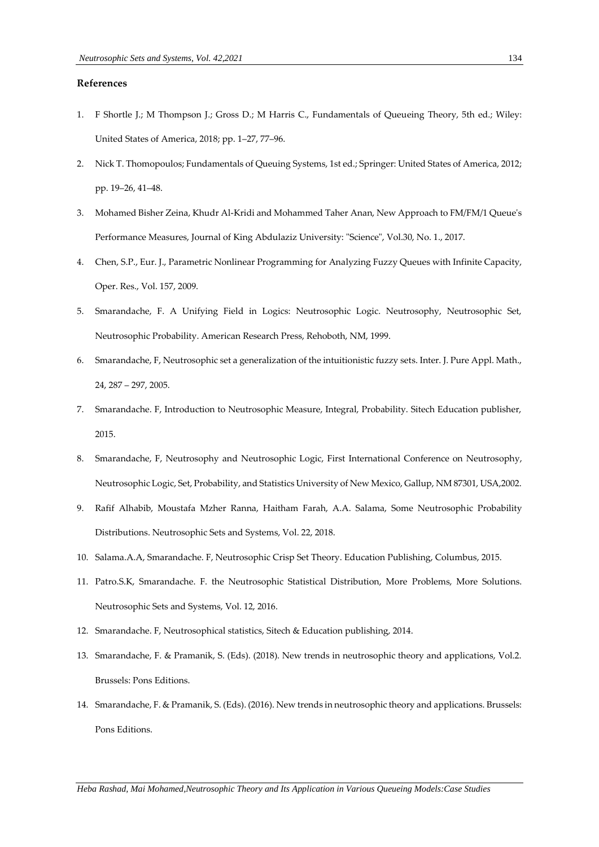# **References**

- 1. F Shortle J.; M Thompson J.; Gross D.; M Harris C., Fundamentals of Queueing Theory, 5th ed.; Wiley: United States of America, 2018; pp. 1–27, 77–96.
- 2. Nick T. Thomopoulos; Fundamentals of Queuing Systems, 1st ed.; Springer: United States of America, 2012; pp. 19–26, 41–48.
- 3. Mohamed Bisher Zeina, Khudr Al-Kridi and Mohammed Taher Anan, New Approach to FM/FM/1 Queue's Performance Measures, Journal of King Abdulaziz University: "Science", Vol.30, No. 1., 2017.
- 4. Chen, S.P., Eur. J., Parametric Nonlinear Programming for Analyzing Fuzzy Queues with Infinite Capacity, Oper. Res., Vol. 157, 2009.
- 5. Smarandache, F. A Unifying Field in Logics: Neutrosophic Logic. Neutrosophy, Neutrosophic Set, Neutrosophic Probability. American Research Press, Rehoboth, NM, 1999.
- 6. Smarandache, F, Neutrosophic set a generalization of the intuitionistic fuzzy sets. Inter. J. Pure Appl. Math., 24, 287 – 297, 2005.
- 7. Smarandache. F, Introduction to Neutrosophic Measure, Integral, Probability. Sitech Education publisher, 2015.
- 8. Smarandache, F, Neutrosophy and Neutrosophic Logic, First International Conference on Neutrosophy, Neutrosophic Logic, Set, Probability, and Statistics University of New Mexico, Gallup, NM 87301, USA,2002.
- 9. Rafif Alhabib, Moustafa Mzher Ranna, Haitham Farah, A.A. Salama, Some Neutrosophic Probability Distributions. Neutrosophic Sets and Systems, Vol. 22, 2018.
- 10. Salama.A.A, Smarandache. F, Neutrosophic Crisp Set Theory. Education Publishing, Columbus, 2015.
- 11. Patro.S.K, Smarandache. F. the Neutrosophic Statistical Distribution, More Problems, More Solutions. Neutrosophic Sets and Systems, Vol. 12, 2016.
- 12. Smarandache. F, Neutrosophical statistics, Sitech & Education publishing, 2014.
- 13. Smarandache, F. & Pramanik, S. (Eds). (2018). New trends in neutrosophic theory and applications, Vol.2. Brussels: Pons Editions.
- 14. Smarandache, F. & Pramanik, S. (Eds). (2016). New trends in neutrosophic theory and applications. Brussels: Pons Editions.